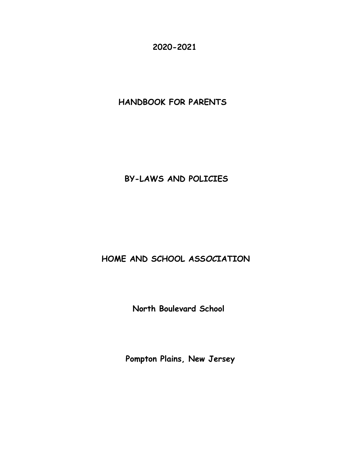**2020-2021**

**HANDBOOK FOR PARENTS** 

# **BY-LAWS AND POLICIES**

# **HOME AND SCHOOL ASS***OC***IATION**

**North Boulevard School**

**Pompton Plains, New Jersey**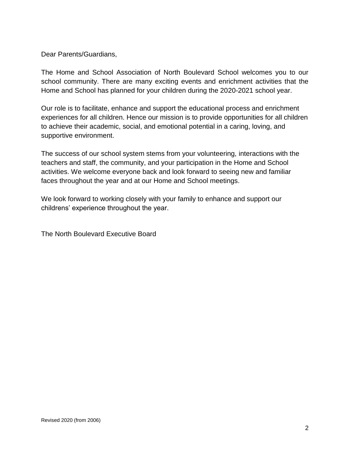#### Dear Parents/Guardians,

The Home and School Association of North Boulevard School welcomes you to our school community. There are many exciting events and enrichment activities that the Home and School has planned for your children during the 2020-2021 school year.

Our role is to facilitate, enhance and support the educational process and enrichment experiences for all children. Hence our mission is to provide opportunities for all children to achieve their academic, social, and emotional potential in a caring, loving, and supportive environment.

The success of our school system stems from your volunteering, interactions with the teachers and staff, the community, and your participation in the Home and School activities. We welcome everyone back and look forward to seeing new and familiar faces throughout the year and at our Home and School meetings.

We look forward to working closely with your family to enhance and support our childrens' experience throughout the year.

The North Boulevard Executive Board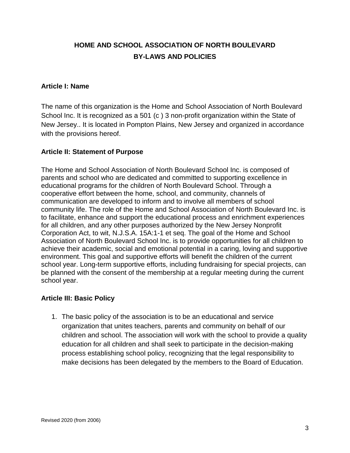## **HOME AND S***C***HOOL ASSOCIATION OF NORTH BOULEVARD BY-LAWS AND POLICIES**

#### **Article I: Name**

The name of this organization is the Home and School Association of North Boulevard School Inc. It is recognized as a 501 (c ) 3 non-profit organization within the State of New Jersey.. It is located in Pompton Plains, New Jersey and organized in accordance with the provisions hereof.

#### **Article II: Statement of Purpose**

The Home and School Association of North Boulevard School Inc. is composed of parents and school who are dedicated and committed to supporting excellence in educational programs for the children of North Boulevard School. Through a cooperative effort between the home, school, and community, channels of communication are developed to inform and to involve all members of school community life. The role of the Home and School Association of North Boulevard Inc. is to facilitate, enhance and support the educational process and enrichment experiences for all children, and any other purposes authorized by the New Jersey Nonprofit Corporation Act, to wit, N.J.S.A. 15A:1-1 et seq. The goal of the Home and School Association of North Boulevard School Inc. is to provide opportunities for all children to achieve their academic, social and emotional potential in a caring, loving and supportive environment. This goal and supportive efforts will benefit the children of the current school year. Long-term supportive efforts, including fundraising for special projects, can be planned with the consent of the membership at a regular meeting during the current school year.

## **Article III: Basic Policy**

1. The basic policy of the association is to be an educational and service organization that unites teachers, parents and community on behalf of our children and school. The association will work with the school to provide a quality education for all children and shall seek to participate in the decision-making process establishing school policy, recognizing that the legal responsibility to make decisions has been delegated by the members to the Board of Education.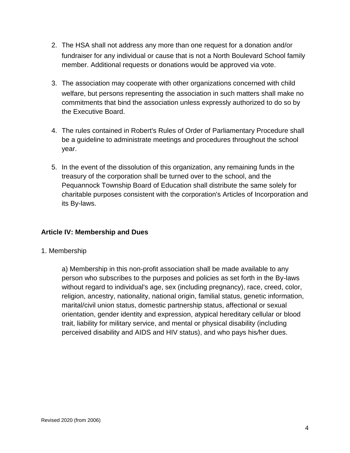- 2. The HSA shall not address any more than one request for a donation and/or fundraiser for any individual or cause that is not a North Boulevard School family member. Additional requests or donations would be approved via vote.
- 3. The association may cooperate with other organizations concerned with child welfare, but persons representing the association in such matters shall make no commitments that bind the association unless expressly authorized to do so by the Executive Board.
- 4. The rules contained in Robert's Rules of Order of Parliamentary Procedure shall be a guideline to administrate meetings and procedures throughout the school year.
- 5. In the event of the dissolution of this organization, any remaining funds in the treasury of the corporation shall be turned over to the school, and the Pequannock Township Board of Education shall distribute the same solely for charitable purposes consistent with the corporation's Articles of Incorporation and its By-laws.

## **Article IV: Membership and Dues**

1. Membership

a) Membership in this non-profit association shall be made available to any person who subscribes to the purposes and policies as set forth in the By-laws without regard to individual's age, sex (including pregnancy), race, creed, color, religion, ancestry, nationality, national origin, familial status, genetic information, marital/civil union status, domestic partnership status, affectional or sexual orientation, gender identity and expression, atypical hereditary cellular or blood trait, liability for military service, and mental or physical disability (including perceived disability and AIDS and HIV status), and who pays his*/*her dues.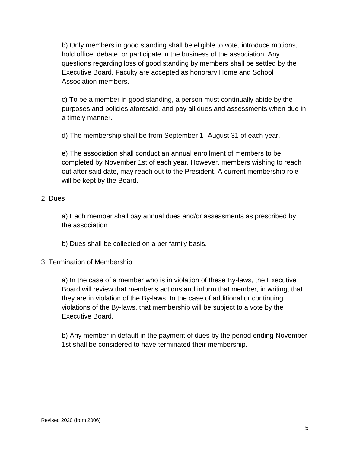b) Only members in good standing shall be eligible to vote, introduce motions, hold office, debate, or participate in the business of the association. Any questions regarding loss of good standing by members shall be settled by the Executive Board. Faculty are accepted as honorary Home and School Association members.

c) To be a member in good standing, a person must continually abide by the purposes and policies aforesaid, and pay all dues and assessments when due in a timely manner.

d) The membership shall be from September 1- August 31 of each year.

e) The association shall conduct an annual enrollment of members to be completed by November 1st of each year. However, members wishing to reach out after said date, may reach out to the President. A current membership role will be kept by the Board.

## 2. Dues

a) Each member shall pay annual dues and/or assessments as prescribed by the association

b) Dues shall be collected on a per family basis.

## 3. Termination of Membership

a) In the case of a member who is in violation of these By-laws, the Executive Board will review that member's actions and inform that member, in writing, that they are in violation of the By-laws. In the case of additional or continuing violations of the By-laws, that membership will be subject to a vote by the Executive Board.

b) Any member in default in the payment of dues by the period ending November 1st shall be considered to have terminated their membership.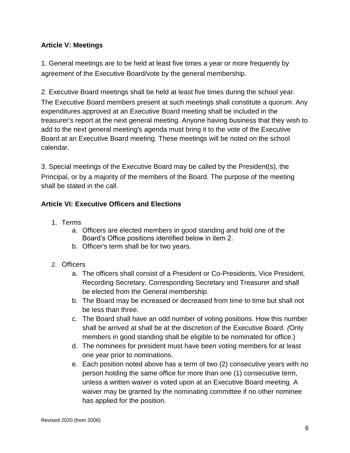## **Article V: Meetings**

1. General meetings are to be held at least five times a year or more frequently by agreement of the Executive Board/vote by the general membership.

2. Executive Board meetings shall be held at least five times during the school year. The Executive Board members present at such meetings shall constitute a quorum. Any expenditures approved at an Executive Board meeting shall be included in the treasurer's report at the next general meeting. Anyone having business that they wish to add to the next general meeting's agenda must bring it to the vote of the Executive Board at an Executive Board meeting. These meetings will be noted on the school calendar.

3. Special meetings of the Executive Board may be called by the President(s), the Principal, or by a majority of the members of the Board. The purpose of the meeting shall be stated in the call.

## **Article VI: Executive Officers and Elections**

- 1. Terms
	- a. Officers are elected members in good standing and hold one of the Board's Office positions identified below in item 2.
	- b. Officer's term shall be for two years.
- 2. Officers
	- a. The officers shall consist of a President or Co-Presidents, Vice President, Recording Secretary, Corresponding Secretary and Treasurer and shall be elected from the General membership.
	- b. The Board may be increased or decreased from time to time but shall not be less than three.
	- c. The Board shall have an odd number of voting positions. How this number shall be arrived at shall be at the discretion of the Executive Board*. (*Only members in good standing shall be eligible to be nominated for office.)
	- d. The nominees for president must have been voting members for at least one year prior to nominations.
	- e. Each position noted above has a term of two (2) consecutive years with no person holding the same office for more than one (1) consecutive term, unless a written waiver is voted upon at an Executive Board meeting. A waiver may be granted by the nominating committee if no other nominee has applied for the position.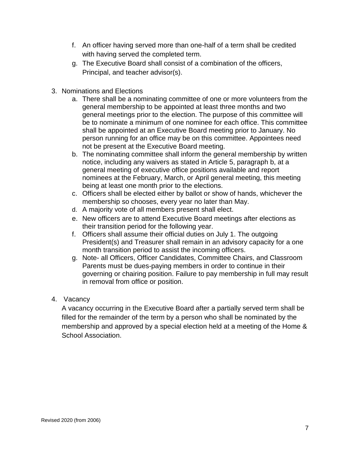- f. An officer having served more than one-half of a term shall be credited with having served the completed term.
- g. The Executive Board shall consist of a combination of the officers, Principal, and teacher advisor(s).
- 3. Nominations and Elections
	- a. There shall be a nominating committee of one or more volunteers from the general membership to be appointed at least three months and two general meetings prior to the election. The purpose of this committee will be to nominate a minimum of one nominee for each office. This committee shall be appointed at an Executive Board meeting prior to January. No person running for an office may be on this committee. Appointees need not be present at the Executive Board meeting.
	- b. The nominating committee shall inform the general membership by written notice, including any waivers as stated in Article 5, paragraph b, at a general meeting of executive office positions available and report nominees at the February, March, or April general meeting, this meeting being at least one month prior to the elections.
	- c. Officers shall be elected either by ballot or show of hands, whichever the membership so chooses, every year no later than May.
	- d. A majority vote of all members present shall elect.
	- e. New officers are to attend Executive Board meetings after elections as their transition period for the following year.
	- f. Officers shall assume their official duties on July 1. The outgoing President(s) and Treasurer shall remain in an advisory capacity for a one month transition period to assist the incoming officers.
	- g. Note- all Officers, Officer Candidates, Committee Chairs, and Classroom Parents must be dues-paying members in order to continue in their governing or chairing position. Failure to pay membership in full may result in removal from office or position.
- 4. Vacancy

A vacancy occurring in the Executive Board after a partially served term shall be filled for the remainder of the term by a person who shall be nominated by the membership and approved by a special election held at a meeting of the Home & School Association.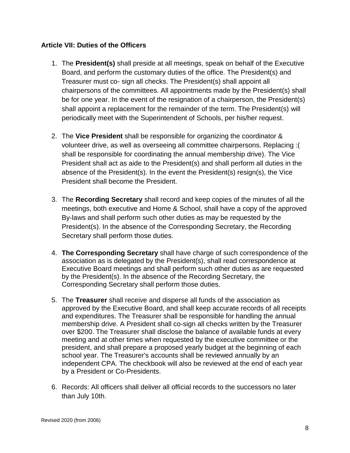## **Article VII: Duties of the Officers**

- 1. The **President(s)** shall preside at all meetings, speak on behalf of the Executive Board, and perform the customary duties of the office. The President(s) and Treasurer must co- sign all checks. The President(s) shall appoint all chairpersons of the committees. All appointments made by the President(s) shall be for one year. In the event of the resignation of a chairperson, the President(s) shall appoint a replacement for the remainder of the term. The President(s) will periodically meet with the Superintendent of Schools, per his/her request.
- 2. The **Vice President** shall be responsible for organizing the coordinator & volunteer drive, as well as overseeing all committee chairpersons. Replacing :( shall be responsible for coordinating the annual membership drive). The Vice President shall act as aide to the President(s) and shall perform all duties in the absence of the President(s). In the event the President(s) resign(s), the Vice President shall become the President.
- 3. The **Recording Secretary** shall record and keep copies of the minutes of all the meetings, both executive and Home & School, shall have a copy of the approved By-laws and shall perform such other duties as may be requested by the President(s). In the absence of the Corresponding Secretary, the Recording Secretary shall perform those duties.
- 4. **The Corresponding Secretary** shall have charge of such correspondence of the association as is delegated by the President(s), shall read correspondence at Executive Board meetings and shall perform such other duties as are requested by the President(s). In the absence of the Recording Secretary, the Corresponding Secretary shall perform those duties.
- 5. The **Treasurer** shall receive and disperse all funds of the association as approved by the Executive Board, and shall keep accurate records of all receipts and expenditures. The Treasurer shall be responsible for handling the annual membership drive. A President shall co-sign all checks written by the Treasurer over \$200. The Treasurer shall disclose the balance of available funds at every meeting and at other times when requested by the executive committee or the president, and shall prepare a proposed yearly budget at the beginning of each school year. The Treasurer's accounts shall be reviewed annually by an independent CPA. The checkbook will also be reviewed at the end of each year by a President or Co-Presidents.
- 6. Records: All officers shall deliver all official records to the successors no later than July 10th.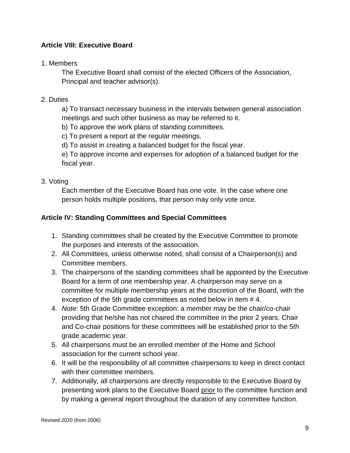## **Article VIII: Executive Board**

## 1. Members

The Executive Board shall consist of the elected Officers of the Association, Principal and teacher advisor(s).

## 2. Duties

a) To transact necessary business in the intervals between general association meetings and such other business as may be referred to it.

b) To approve the work plans of standing committees.

c) To present a report at the regular meetings.

d) To assist in creating a balanced budget for the fiscal year.

e) To approve income and expenses for adoption of a balanced budget for the fiscal year.

## 3. Voting

Each member of the Executive Board has one vote. In the case where one person holds multiple positions, that person may only vote once.

## **Article IV: Standing Committees and Special Committees**

- 1. Standing committees shall be created by the Executive Committee to promote the purposes and interests of the association.
- 2. All Committees, unless otherwise noted, shall consist of a Chairperson(s) and Committee members.
- 3. The chairpersons of the standing committees shall be appointed by the Executive Board for a term of one membership year. A chairperson may serve on a committee for multiple membership years at the discretion of the Board, with the exception of the 5th grade committees as noted below in item # 4.
- 4. *Note:* 5th Grade Committee exception: a member may be the chair/co-chair providing that he/she has not chaired the committee in the prior 2 years. Chair and Co-chair positions for these committees will be established prior to the 5th grade academic year.
- 5. All chairpersons must be an enrolled member of the Home and School association for the current school year.
- 6. It will be the responsibility of all committee chairpersons to keep in direct contact with their committee members.
- 7. Additionally, all chairpersons are directly responsible to the Executive Board by presenting work plans to the Executive Board prior to the committee function and by making a general report throughout the duration of any committee function.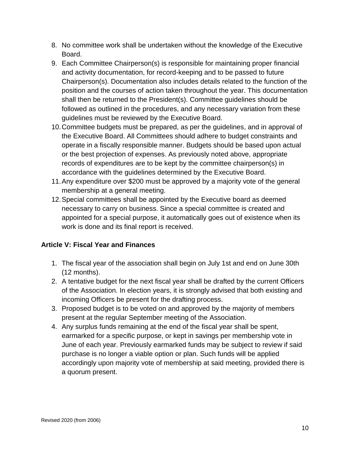- 8. No committee work shall be undertaken without the knowledge of the Executive Board.
- 9. Each Committee Chairperson(s) is responsible for maintaining proper financial and activity documentation, for record-keeping and to be passed to future Chairperson(s). Documentation also includes details related to the function of the position and the courses of action taken throughout the year. This documentation shall then be returned to the President(s). Committee guidelines should be followed as outlined in the procedures, and any necessary variation from these guidelines must be reviewed by the Executive Board.
- 10.Committee budgets must be prepared, as per the guidelines, and in approval of the Executive Board. All Committees should adhere to budget constraints and operate in a fiscally responsible manner. Budgets should be based upon actual or the best projection of expenses. As previously noted above, appropriate records of expenditures are to be kept by the committee chairperson(s) in accordance with the guidelines determined by the Executive Board.
- 11.Any expenditure over \$200 must be approved by a majority vote of the general membership at a general meeting.
- 12.Special committees shall be appointed by the Executive board as deemed necessary to carry on business. Since a special committee is created and appointed for a special purpose, it automatically goes out of existence when its work is done and its final report is received.

## **Article V: Fiscal Year and Finances**

- 1. The fiscal year of the association shall begin on July 1st and end on June 30th (12 months).
- 2. A tentative budget for the next fiscal year shall be drafted by the current Officers of the Association. In election years, it is strongly advised that both existing and incoming Officers be present for the drafting process.
- 3. Proposed budget is to be voted on and approved by the majority of members present at the regular September meeting of the Association.
- 4. Any surplus funds remaining at the end of the fiscal year shall be spent, earmarked for a specific purpose, or kept in savings per membership vote in June of each year. Previously earmarked funds may be subject to review if said purchase is no longer a viable option or plan. Such funds will be applied accordingly upon majority vote of membership at said meeting, provided there is a quorum present.